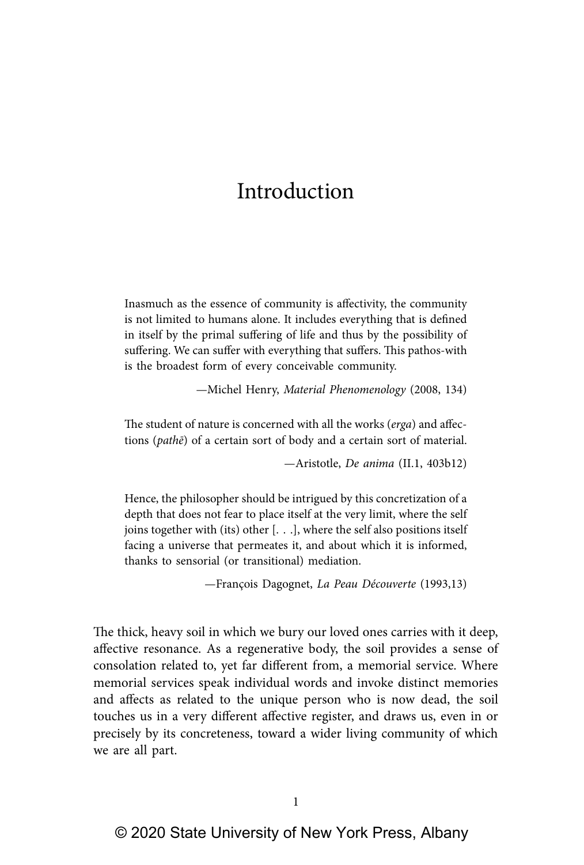Inasmuch as the essence of community is affectivity, the community is not limited to humans alone. It includes everything that is defined in itself by the primal suffering of life and thus by the possibility of suffering. We can suffer with everything that suffers. This pathos-with is the broadest form of every conceivable community.

—Michel Henry, Material Phenomenology (2008, 134)

The student of nature is concerned with all the works (erga) and affections (pathē) of a certain sort of body and a certain sort of material.

—Aristotle, De anima (II.1, 403b12)

Hence, the philosopher should be intrigued by this concretization of a depth that does not fear to place itself at the very limit, where the self joins together with (its) other [. . .], where the self also positions itself facing a universe that permeates it, and about which it is informed, thanks to sensorial (or transitional) mediation.

—François Dagognet, La Peau Découverte (1993,13)

The thick, heavy soil in which we bury our loved ones carries with it deep, affective resonance. As a regenerative body, the soil provides a sense of consolation related to, yet far different from, a memorial service. Where memorial services speak individual words and invoke distinct memories and affects as related to the unique person who is now dead, the soil touches us in a very different affective register, and draws us, even in or precisely by its concreteness, toward a wider living community of which we are all part.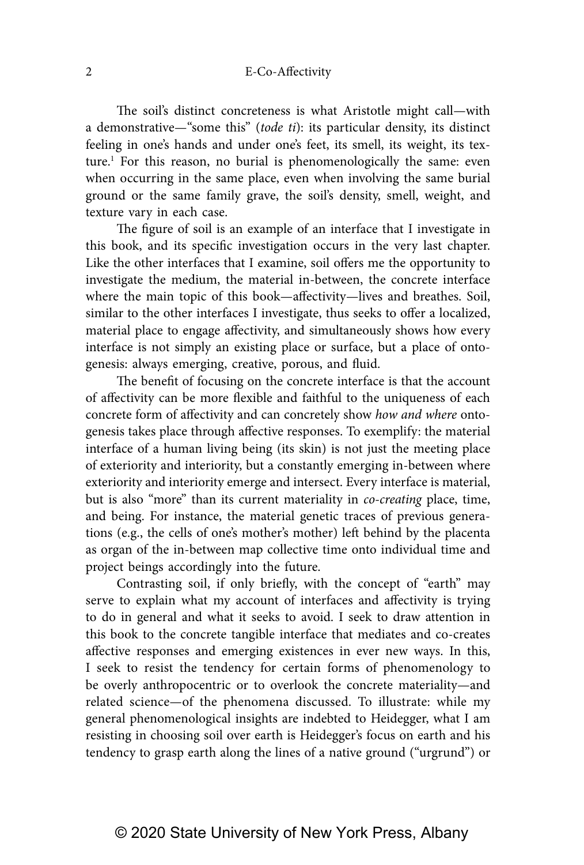The soil's distinct concreteness is what Aristotle might call—with a demonstrative—"some this" (tode ti): its particular density, its distinct feeling in one's hands and under one's feet, its smell, its weight, its texture.<sup>1</sup> For this reason, no burial is phenomenologically the same: even when occurring in the same place, even when involving the same burial ground or the same family grave, the soil's density, smell, weight, and texture vary in each case.

The figure of soil is an example of an interface that I investigate in this book, and its specific investigation occurs in the very last chapter. Like the other interfaces that I examine, soil offers me the opportunity to investigate the medium, the material in-between, the concrete interface where the main topic of this book—affectivity—lives and breathes. Soil, similar to the other interfaces I investigate, thus seeks to offer a localized, material place to engage affectivity, and simultaneously shows how every interface is not simply an existing place or surface, but a place of ontogenesis: always emerging, creative, porous, and fluid.

The benefit of focusing on the concrete interface is that the account of affectivity can be more flexible and faithful to the uniqueness of each concrete form of affectivity and can concretely show how and where ontogenesis takes place through affective responses. To exemplify: the material interface of a human living being (its skin) is not just the meeting place of exteriority and interiority, but a constantly emerging in-between where exteriority and interiority emerge and intersect. Every interface is material, but is also "more" than its current materiality in co-creating place, time, and being. For instance, the material genetic traces of previous generations (e.g., the cells of one's mother's mother) left behind by the placenta as organ of the in-between map collective time onto individual time and project beings accordingly into the future.

Contrasting soil, if only briefly, with the concept of "earth" may serve to explain what my account of interfaces and affectivity is trying to do in general and what it seeks to avoid. I seek to draw attention in this book to the concrete tangible interface that mediates and co-creates affective responses and emerging existences in ever new ways. In this, I seek to resist the tendency for certain forms of phenomenology to be overly anthropocentric or to overlook the concrete materiality—and related science—of the phenomena discussed. To illustrate: while my general phenomenological insights are indebted to Heidegger, what I am resisting in choosing soil over earth is Heidegger's focus on earth and his tendency to grasp earth along the lines of a native ground ("urgrund") or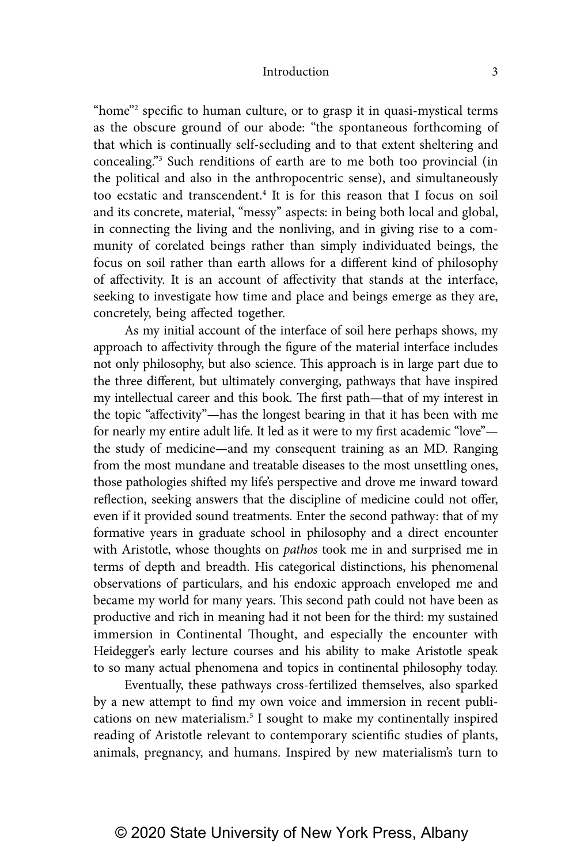"home"<sup>2</sup> specific to human culture, or to grasp it in quasi-mystical terms as the obscure ground of our abode: "the spontaneous forthcoming of that which is continually self-secluding and to that extent sheltering and concealing."3 Such renditions of earth are to me both too provincial (in the political and also in the anthropocentric sense), and simultaneously too ecstatic and transcendent.<sup>4</sup> It is for this reason that I focus on soil and its concrete, material, "messy" aspects: in being both local and global, in connecting the living and the nonliving, and in giving rise to a community of corelated beings rather than simply individuated beings, the focus on soil rather than earth allows for a different kind of philosophy of affectivity. It is an account of affectivity that stands at the interface, seeking to investigate how time and place and beings emerge as they are, concretely, being affected together.

As my initial account of the interface of soil here perhaps shows, my approach to affectivity through the figure of the material interface includes not only philosophy, but also science. This approach is in large part due to the three different, but ultimately converging, pathways that have inspired my intellectual career and this book. The first path—that of my interest in the topic "affectivity"—has the longest bearing in that it has been with me for nearly my entire adult life. It led as it were to my first academic "love" the study of medicine—and my consequent training as an MD. Ranging from the most mundane and treatable diseases to the most unsettling ones, those pathologies shifted my life's perspective and drove me inward toward reflection, seeking answers that the discipline of medicine could not offer, even if it provided sound treatments. Enter the second pathway: that of my formative years in graduate school in philosophy and a direct encounter with Aristotle, whose thoughts on *pathos* took me in and surprised me in terms of depth and breadth. His categorical distinctions, his phenomenal observations of particulars, and his endoxic approach enveloped me and became my world for many years. This second path could not have been as productive and rich in meaning had it not been for the third: my sustained immersion in Continental Thought, and especially the encounter with Heidegger's early lecture courses and his ability to make Aristotle speak to so many actual phenomena and topics in continental philosophy today.

Eventually, these pathways cross-fertilized themselves, also sparked by a new attempt to find my own voice and immersion in recent publications on new materialism.<sup>5</sup> I sought to make my continentally inspired reading of Aristotle relevant to contemporary scientific studies of plants, animals, pregnancy, and humans. Inspired by new materialism's turn to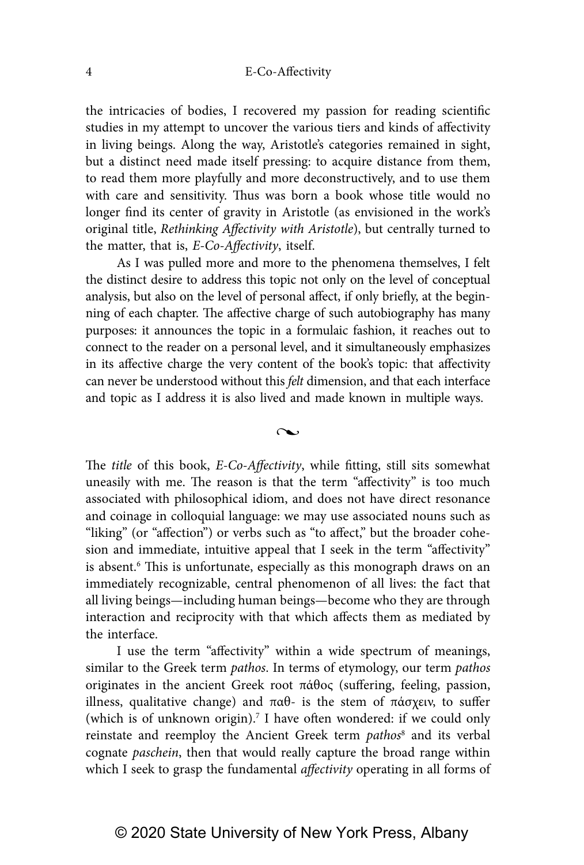the intricacies of bodies, I recovered my passion for reading scientific studies in my attempt to uncover the various tiers and kinds of affectivity in living beings. Along the way, Aristotle's categories remained in sight, but a distinct need made itself pressing: to acquire distance from them, to read them more playfully and more deconstructively, and to use them with care and sensitivity. Thus was born a book whose title would no longer find its center of gravity in Aristotle (as envisioned in the work's original title, Rethinking Affectivity with Aristotle), but centrally turned to the matter, that is, E-Co-Affectivity, itself.

As I was pulled more and more to the phenomena themselves, I felt the distinct desire to address this topic not only on the level of conceptual analysis, but also on the level of personal affect, if only briefly, at the beginning of each chapter. The affective charge of such autobiography has many purposes: it announces the topic in a formulaic fashion, it reaches out to connect to the reader on a personal level, and it simultaneously emphasizes in its affective charge the very content of the book's topic: that affectivity can never be understood without this felt dimension, and that each interface and topic as I address it is also lived and made known in multiple ways.

 $\sim$ 

The title of this book, E-Co-Affectivity, while fitting, still sits somewhat uneasily with me. The reason is that the term "affectivity" is too much associated with philosophical idiom, and does not have direct resonance and coinage in colloquial language: we may use associated nouns such as "liking" (or "affection") or verbs such as "to affect," but the broader cohesion and immediate, intuitive appeal that I seek in the term "affectivity" is absent.<sup>6</sup> This is unfortunate, especially as this monograph draws on an immediately recognizable, central phenomenon of all lives: the fact that all living beings—including human beings—become who they are through interaction and reciprocity with that which affects them as mediated by the interface.

I use the term "affectivity" within a wide spectrum of meanings, similar to the Greek term pathos. In terms of etymology, our term pathos originates in the ancient Greek root πάθος (suffering, feeling, passion, illness, qualitative change) and παθ- is the stem of πάσχειν, to suffer (which is of unknown origin).<sup>7</sup> I have often wondered: if we could only reinstate and reemploy the Ancient Greek term pathos<sup>8</sup> and its verbal cognate paschein, then that would really capture the broad range within which I seek to grasp the fundamental affectivity operating in all forms of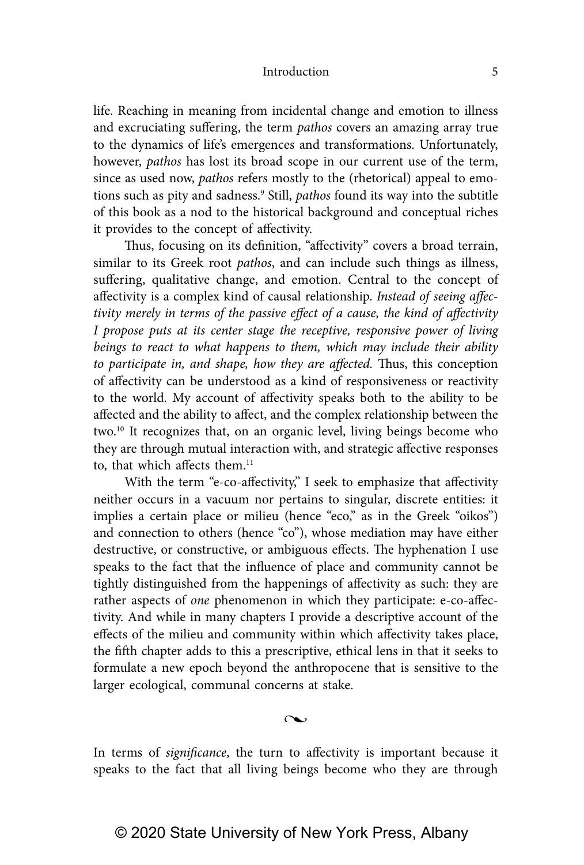life. Reaching in meaning from incidental change and emotion to illness and excruciating suffering, the term pathos covers an amazing array true to the dynamics of life's emergences and transformations. Unfortunately, however, pathos has lost its broad scope in our current use of the term, since as used now, pathos refers mostly to the (rhetorical) appeal to emotions such as pity and sadness.<sup>9</sup> Still, *pathos* found its way into the subtitle of this book as a nod to the historical background and conceptual riches it provides to the concept of affectivity.

Thus, focusing on its definition, "affectivity" covers a broad terrain, similar to its Greek root pathos, and can include such things as illness, suffering, qualitative change, and emotion. Central to the concept of affectivity is a complex kind of causal relationship. Instead of seeing affectivity merely in terms of the passive effect of a cause, the kind of affectivity I propose puts at its center stage the receptive, responsive power of living beings to react to what happens to them, which may include their ability to participate in, and shape, how they are affected. Thus, this conception of affectivity can be understood as a kind of responsiveness or reactivity to the world. My account of affectivity speaks both to the ability to be affected and the ability to affect, and the complex relationship between the two.10 It recognizes that, on an organic level, living beings become who they are through mutual interaction with, and strategic affective responses to, that which affects them.<sup>11</sup>

With the term "e-co-affectivity," I seek to emphasize that affectivity neither occurs in a vacuum nor pertains to singular, discrete entities: it implies a certain place or milieu (hence "eco," as in the Greek "oikos") and connection to others (hence "co"), whose mediation may have either destructive, or constructive, or ambiguous effects. The hyphenation I use speaks to the fact that the influence of place and community cannot be tightly distinguished from the happenings of affectivity as such: they are rather aspects of one phenomenon in which they participate: e-co-affectivity. And while in many chapters I provide a descriptive account of the effects of the milieu and community within which affectivity takes place, the fifth chapter adds to this a prescriptive, ethical lens in that it seeks to formulate a new epoch beyond the anthropocene that is sensitive to the larger ecological, communal concerns at stake.

 $\sim$ 

In terms of *significance*, the turn to affectivity is important because it speaks to the fact that all living beings become who they are through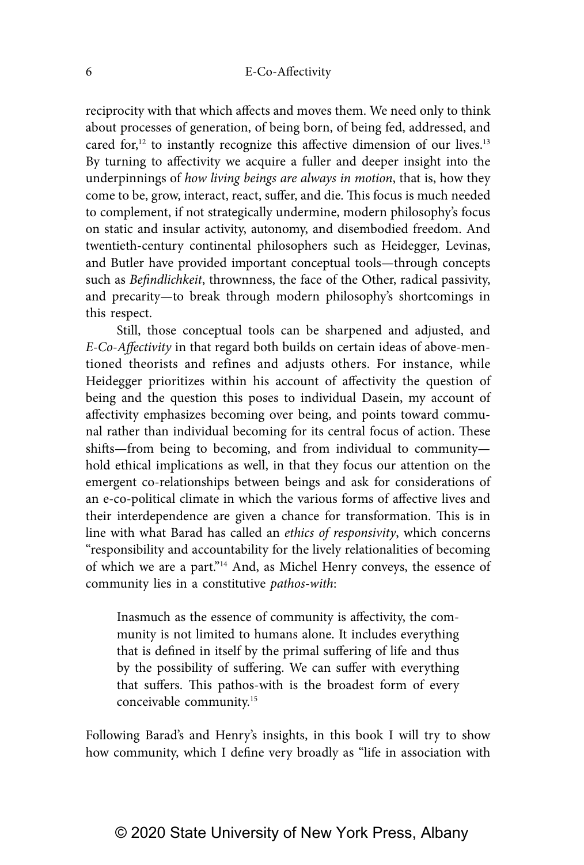reciprocity with that which affects and moves them. We need only to think about processes of generation, of being born, of being fed, addressed, and cared for,<sup>12</sup> to instantly recognize this affective dimension of our lives.<sup>13</sup> By turning to affectivity we acquire a fuller and deeper insight into the underpinnings of how living beings are always in motion, that is, how they come to be, grow, interact, react, suffer, and die. This focus is much needed to complement, if not strategically undermine, modern philosophy's focus on static and insular activity, autonomy, and disembodied freedom. And twentieth-century continental philosophers such as Heidegger, Levinas, and Butler have provided important conceptual tools—through concepts such as Befindlichkeit, thrownness, the face of the Other, radical passivity, and precarity—to break through modern philosophy's shortcomings in this respect.

Still, those conceptual tools can be sharpened and adjusted, and E-Co-Affectivity in that regard both builds on certain ideas of above-mentioned theorists and refines and adjusts others. For instance, while Heidegger prioritizes within his account of affectivity the question of being and the question this poses to individual Dasein, my account of affectivity emphasizes becoming over being, and points toward communal rather than individual becoming for its central focus of action. These shifts—from being to becoming, and from individual to community hold ethical implications as well, in that they focus our attention on the emergent co-relationships between beings and ask for considerations of an e-co-political climate in which the various forms of affective lives and their interdependence are given a chance for transformation. This is in line with what Barad has called an ethics of responsivity, which concerns "responsibility and accountability for the lively relationalities of becoming of which we are a part."14 And, as Michel Henry conveys, the essence of community lies in a constitutive pathos-with:

Inasmuch as the essence of community is affectivity, the community is not limited to humans alone. It includes everything that is defined in itself by the primal suffering of life and thus by the possibility of suffering. We can suffer with everything that suffers. This pathos-with is the broadest form of every conceivable community.15

Following Barad's and Henry's insights, in this book I will try to show how community, which I define very broadly as "life in association with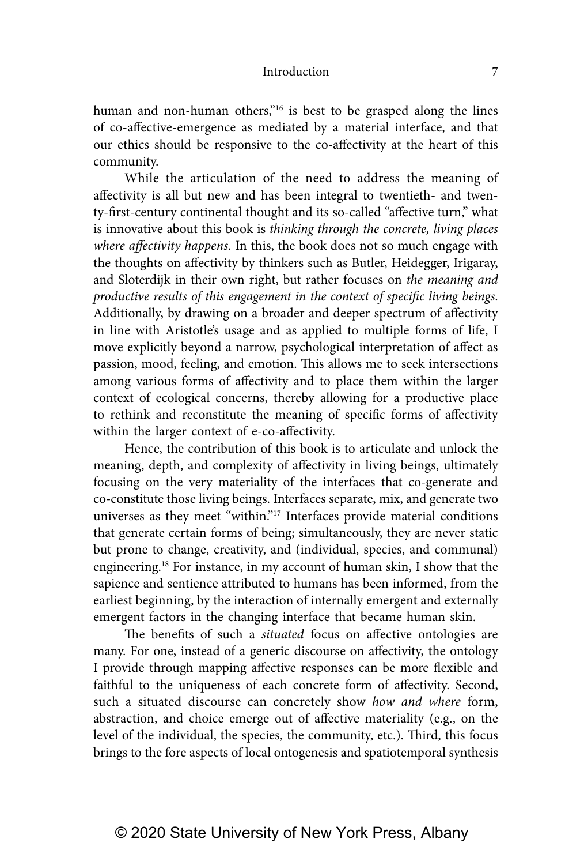human and non-human others,<sup>"16</sup> is best to be grasped along the lines of co-affective-emergence as mediated by a material interface, and that our ethics should be responsive to the co-affectivity at the heart of this community.

While the articulation of the need to address the meaning of affectivity is all but new and has been integral to twentieth- and twenty-first-century continental thought and its so-called "affective turn," what is innovative about this book is thinking through the concrete, living places where affectivity happens. In this, the book does not so much engage with the thoughts on affectivity by thinkers such as Butler, Heidegger, Irigaray, and Sloterdijk in their own right, but rather focuses on the meaning and productive results of this engagement in the context of specific living beings. Additionally, by drawing on a broader and deeper spectrum of affectivity in line with Aristotle's usage and as applied to multiple forms of life, I move explicitly beyond a narrow, psychological interpretation of affect as passion, mood, feeling, and emotion. This allows me to seek intersections among various forms of affectivity and to place them within the larger context of ecological concerns, thereby allowing for a productive place to rethink and reconstitute the meaning of specific forms of affectivity within the larger context of e-co-affectivity.

Hence, the contribution of this book is to articulate and unlock the meaning, depth, and complexity of affectivity in living beings, ultimately focusing on the very materiality of the interfaces that co-generate and co-constitute those living beings. Interfaces separate, mix, and generate two universes as they meet "within."<sup>17</sup> Interfaces provide material conditions that generate certain forms of being; simultaneously, they are never static but prone to change, creativity, and (individual, species, and communal) engineering.18 For instance, in my account of human skin, I show that the sapience and sentience attributed to humans has been informed, from the earliest beginning, by the interaction of internally emergent and externally emergent factors in the changing interface that became human skin.

The benefits of such a situated focus on affective ontologies are many. For one, instead of a generic discourse on affectivity, the ontology I provide through mapping affective responses can be more flexible and faithful to the uniqueness of each concrete form of affectivity. Second, such a situated discourse can concretely show how and where form, abstraction, and choice emerge out of affective materiality (e.g., on the level of the individual, the species, the community, etc.). Third, this focus brings to the fore aspects of local ontogenesis and spatiotemporal synthesis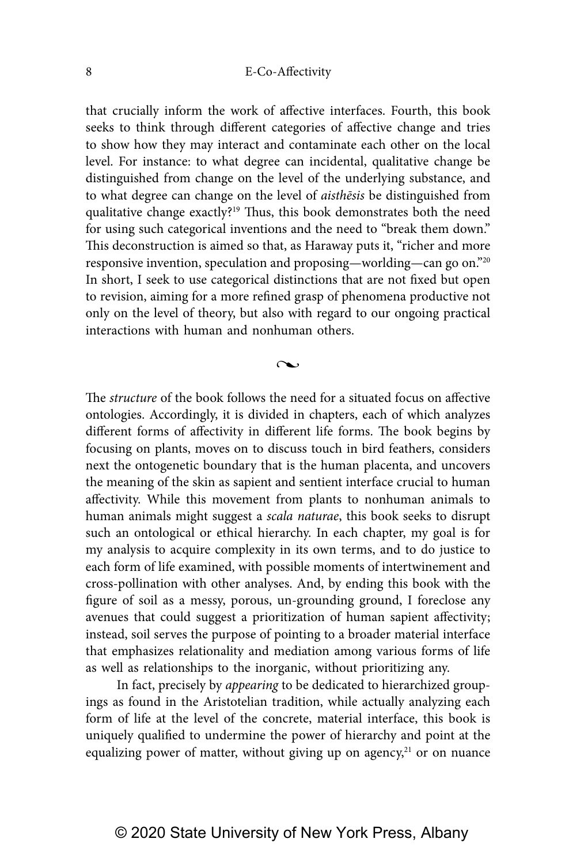that crucially inform the work of affective interfaces. Fourth, this book seeks to think through different categories of affective change and tries to show how they may interact and contaminate each other on the local level. For instance: to what degree can incidental, qualitative change be distinguished from change on the level of the underlying substance, and to what degree can change on the level of *aisthēsis* be distinguished from qualitative change exactly?<sup>19</sup> Thus, this book demonstrates both the need for using such categorical inventions and the need to "break them down." This deconstruction is aimed so that, as Haraway puts it, "richer and more responsive invention, speculation and proposing—worlding—can go on."20 In short, I seek to use categorical distinctions that are not fixed but open to revision, aiming for a more refined grasp of phenomena productive not only on the level of theory, but also with regard to our ongoing practical interactions with human and nonhuman others.

 $\sim$ 

The structure of the book follows the need for a situated focus on affective ontologies. Accordingly, it is divided in chapters, each of which analyzes different forms of affectivity in different life forms. The book begins by focusing on plants, moves on to discuss touch in bird feathers, considers next the ontogenetic boundary that is the human placenta, and uncovers the meaning of the skin as sapient and sentient interface crucial to human affectivity. While this movement from plants to nonhuman animals to human animals might suggest a scala naturae, this book seeks to disrupt such an ontological or ethical hierarchy. In each chapter, my goal is for my analysis to acquire complexity in its own terms, and to do justice to each form of life examined, with possible moments of intertwinement and cross-pollination with other analyses. And, by ending this book with the figure of soil as a messy, porous, un-grounding ground, I foreclose any avenues that could suggest a prioritization of human sapient affectivity; instead, soil serves the purpose of pointing to a broader material interface that emphasizes relationality and mediation among various forms of life as well as relationships to the inorganic, without prioritizing any.

In fact, precisely by appearing to be dedicated to hierarchized groupings as found in the Aristotelian tradition, while actually analyzing each form of life at the level of the concrete, material interface, this book is uniquely qualified to undermine the power of hierarchy and point at the equalizing power of matter, without giving up on agency, $21$  or on nuance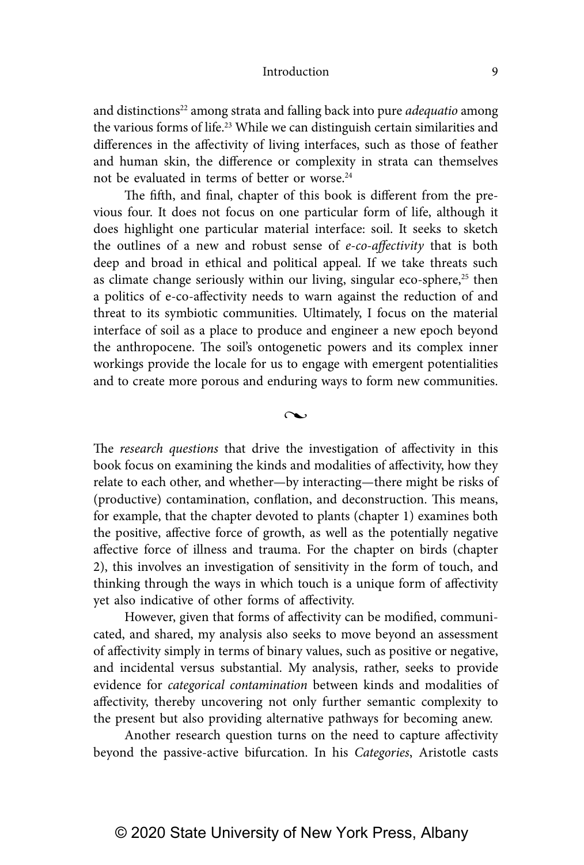and distinctions<sup>22</sup> among strata and falling back into pure *adequatio* among the various forms of life.<sup>23</sup> While we can distinguish certain similarities and differences in the affectivity of living interfaces, such as those of feather and human skin, the difference or complexity in strata can themselves not be evaluated in terms of better or worse.<sup>24</sup>

The fifth, and final, chapter of this book is different from the previous four. It does not focus on one particular form of life, although it does highlight one particular material interface: soil. It seeks to sketch the outlines of a new and robust sense of e-co-affectivity that is both deep and broad in ethical and political appeal. If we take threats such as climate change seriously within our living, singular eco-sphere, $25$  then a politics of e-co-affectivity needs to warn against the reduction of and threat to its symbiotic communities. Ultimately, I focus on the material interface of soil as a place to produce and engineer a new epoch beyond the anthropocene. The soil's ontogenetic powers and its complex inner workings provide the locale for us to engage with emergent potentialities and to create more porous and enduring ways to form new communities.

The *research questions* that drive the investigation of affectivity in this book focus on examining the kinds and modalities of affectivity, how they relate to each other, and whether—by interacting—there might be risks of (productive) contamination, conflation, and deconstruction. This means, for example, that the chapter devoted to plants (chapter 1) examines both the positive, affective force of growth, as well as the potentially negative affective force of illness and trauma. For the chapter on birds (chapter 2), this involves an investigation of sensitivity in the form of touch, and thinking through the ways in which touch is a unique form of affectivity yet also indicative of other forms of affectivity.

 $\sim$ 

However, given that forms of affectivity can be modified, communicated, and shared, my analysis also seeks to move beyond an assessment of affectivity simply in terms of binary values, such as positive or negative, and incidental versus substantial. My analysis, rather, seeks to provide evidence for categorical contamination between kinds and modalities of affectivity, thereby uncovering not only further semantic complexity to the present but also providing alternative pathways for becoming anew.

Another research question turns on the need to capture affectivity beyond the passive-active bifurcation. In his Categories, Aristotle casts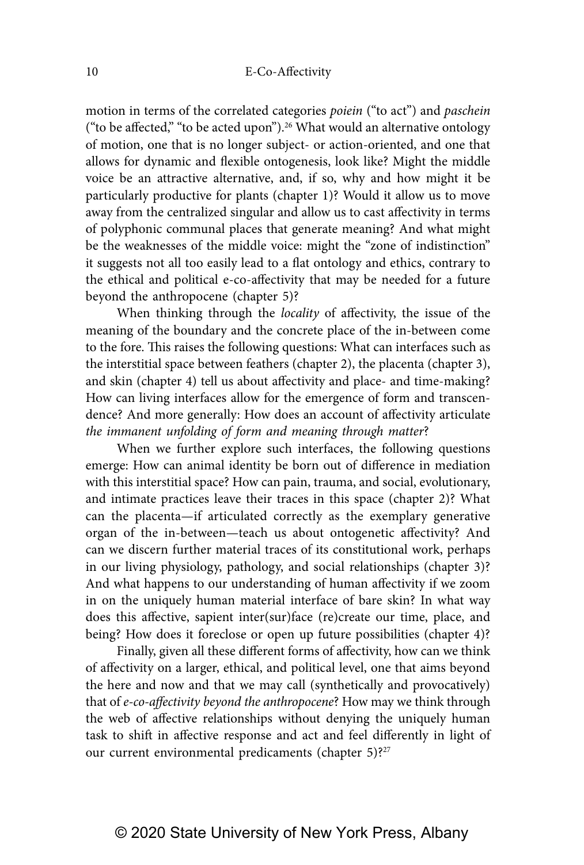motion in terms of the correlated categories poiein ("to act") and paschein ("to be affected," "to be acted upon").<sup>26</sup> What would an alternative ontology of motion, one that is no longer subject- or action-oriented, and one that allows for dynamic and flexible ontogenesis, look like? Might the middle voice be an attractive alternative, and, if so, why and how might it be particularly productive for plants (chapter 1)? Would it allow us to move away from the centralized singular and allow us to cast affectivity in terms of polyphonic communal places that generate meaning? And what might be the weaknesses of the middle voice: might the "zone of indistinction" it suggests not all too easily lead to a flat ontology and ethics, contrary to the ethical and political e-co-affectivity that may be needed for a future beyond the anthropocene (chapter 5)?

When thinking through the *locality* of affectivity, the issue of the meaning of the boundary and the concrete place of the in-between come to the fore. This raises the following questions: What can interfaces such as the interstitial space between feathers (chapter 2), the placenta (chapter 3), and skin (chapter 4) tell us about affectivity and place- and time-making? How can living interfaces allow for the emergence of form and transcendence? And more generally: How does an account of affectivity articulate the immanent unfolding of form and meaning through matter?

When we further explore such interfaces, the following questions emerge: How can animal identity be born out of difference in mediation with this interstitial space? How can pain, trauma, and social, evolutionary, and intimate practices leave their traces in this space (chapter 2)? What can the placenta—if articulated correctly as the exemplary generative organ of the in-between—teach us about ontogenetic affectivity? And can we discern further material traces of its constitutional work, perhaps in our living physiology, pathology, and social relationships (chapter 3)? And what happens to our understanding of human affectivity if we zoom in on the uniquely human material interface of bare skin? In what way does this affective, sapient inter(sur)face (re)create our time, place, and being? How does it foreclose or open up future possibilities (chapter 4)?

Finally, given all these different forms of affectivity, how can we think of affectivity on a larger, ethical, and political level, one that aims beyond the here and now and that we may call (synthetically and provocatively) that of e-co-affectivity beyond the anthropocene? How may we think through the web of affective relationships without denying the uniquely human task to shift in affective response and act and feel differently in light of our current environmental predicaments (chapter 5)?<sup>27</sup>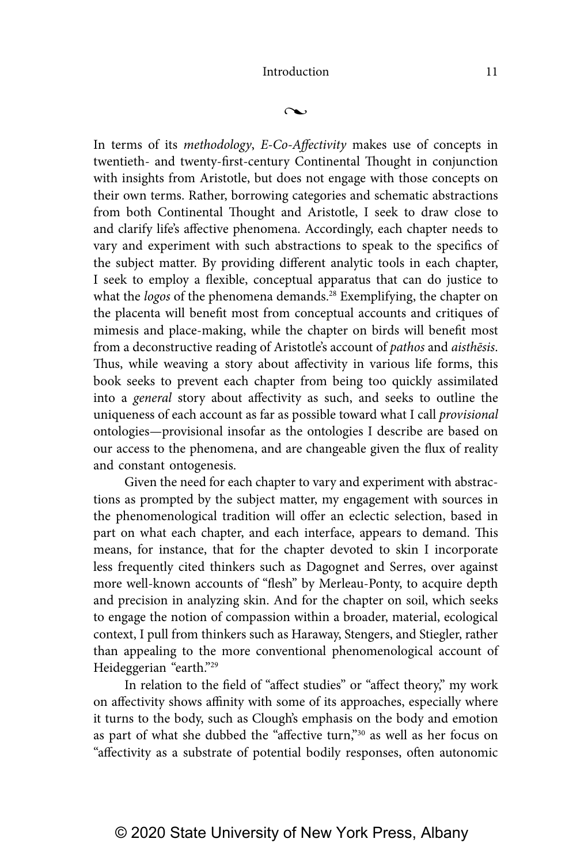$\sim$ 

In terms of its methodology, E-Co-Affectivity makes use of concepts in twentieth- and twenty-first-century Continental Thought in conjunction with insights from Aristotle, but does not engage with those concepts on their own terms. Rather, borrowing categories and schematic abstractions from both Continental Thought and Aristotle, I seek to draw close to and clarify life's affective phenomena. Accordingly, each chapter needs to vary and experiment with such abstractions to speak to the specifics of the subject matter. By providing different analytic tools in each chapter, I seek to employ a flexible, conceptual apparatus that can do justice to what the logos of the phenomena demands.<sup>28</sup> Exemplifying, the chapter on the placenta will benefit most from conceptual accounts and critiques of mimesis and place-making, while the chapter on birds will benefit most from a deconstructive reading of Aristotle's account of pathos and aisthesis. Thus, while weaving a story about affectivity in various life forms, this book seeks to prevent each chapter from being too quickly assimilated into a general story about affectivity as such, and seeks to outline the uniqueness of each account as far as possible toward what I call *provisional* ontologies—provisional insofar as the ontologies I describe are based on our access to the phenomena, and are changeable given the flux of reality and constant ontogenesis.

Given the need for each chapter to vary and experiment with abstractions as prompted by the subject matter, my engagement with sources in the phenomenological tradition will offer an eclectic selection, based in part on what each chapter, and each interface, appears to demand. This means, for instance, that for the chapter devoted to skin I incorporate less frequently cited thinkers such as Dagognet and Serres, over against more well-known accounts of "flesh" by Merleau-Ponty, to acquire depth and precision in analyzing skin. And for the chapter on soil, which seeks to engage the notion of compassion within a broader, material, ecological context, I pull from thinkers such as Haraway, Stengers, and Stiegler, rather than appealing to the more conventional phenomenological account of Heideggerian "earth."29

In relation to the field of "affect studies" or "affect theory," my work on affectivity shows affinity with some of its approaches, especially where it turns to the body, such as Clough's emphasis on the body and emotion as part of what she dubbed the "affective turn,"30 as well as her focus on "affectivity as a substrate of potential bodily responses, often autonomic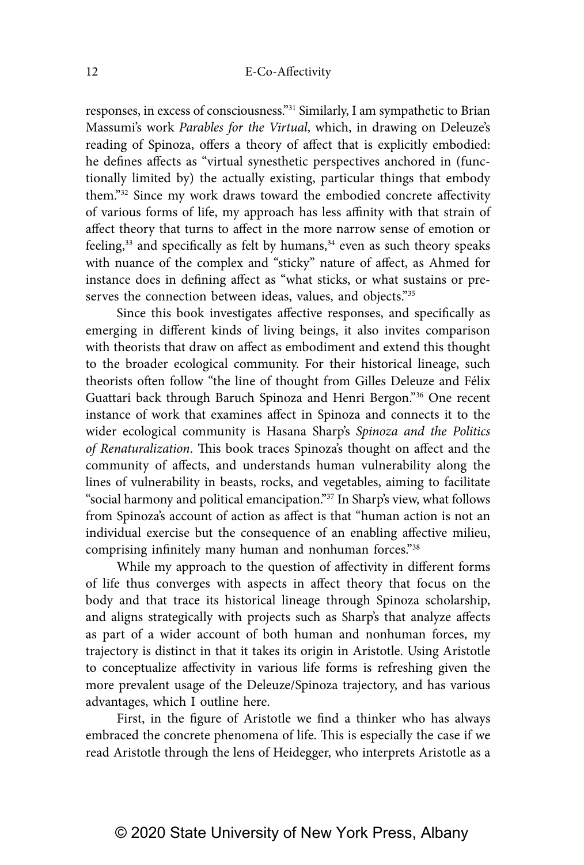responses, in excess of consciousness."31 Similarly, I am sympathetic to Brian Massumi's work Parables for the Virtual, which, in drawing on Deleuze's reading of Spinoza, offers a theory of affect that is explicitly embodied: he defines affects as "virtual synesthetic perspectives anchored in (functionally limited by) the actually existing, particular things that embody them."32 Since my work draws toward the embodied concrete affectivity of various forms of life, my approach has less affinity with that strain of affect theory that turns to affect in the more narrow sense of emotion or feeling, $33$  and specifically as felt by humans, $34$  even as such theory speaks with nuance of the complex and "sticky" nature of affect, as Ahmed for instance does in defining affect as "what sticks, or what sustains or preserves the connection between ideas, values, and objects."35

Since this book investigates affective responses, and specifically as emerging in different kinds of living beings, it also invites comparison with theorists that draw on affect as embodiment and extend this thought to the broader ecological community. For their historical lineage, such theorists often follow "the line of thought from Gilles Deleuze and Félix Guattari back through Baruch Spinoza and Henri Bergon."36 One recent instance of work that examines affect in Spinoza and connects it to the wider ecological community is Hasana Sharp's Spinoza and the Politics of Renaturalization. This book traces Spinoza's thought on affect and the community of affects, and understands human vulnerability along the lines of vulnerability in beasts, rocks, and vegetables, aiming to facilitate "social harmony and political emancipation."37 In Sharp's view, what follows from Spinoza's account of action as affect is that "human action is not an individual exercise but the consequence of an enabling affective milieu, comprising infinitely many human and nonhuman forces."38

While my approach to the question of affectivity in different forms of life thus converges with aspects in affect theory that focus on the body and that trace its historical lineage through Spinoza scholarship, and aligns strategically with projects such as Sharp's that analyze affects as part of a wider account of both human and nonhuman forces, my trajectory is distinct in that it takes its origin in Aristotle. Using Aristotle to conceptualize affectivity in various life forms is refreshing given the more prevalent usage of the Deleuze/Spinoza trajectory, and has various advantages, which I outline here.

First, in the figure of Aristotle we find a thinker who has always embraced the concrete phenomena of life. This is especially the case if we read Aristotle through the lens of Heidegger, who interprets Aristotle as a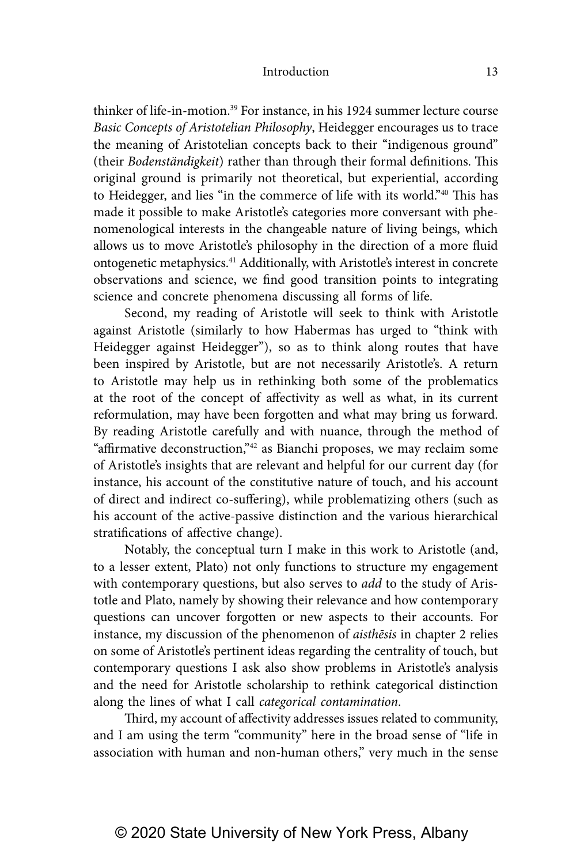thinker of life-in-motion.39 For instance, in his 1924 summer lecture course Basic Concepts of Aristotelian Philosophy, Heidegger encourages us to trace the meaning of Aristotelian concepts back to their "indigenous ground" (their Bodenständigkeit) rather than through their formal definitions. This original ground is primarily not theoretical, but experiential, according to Heidegger, and lies "in the commerce of life with its world."<sup>40</sup> This has made it possible to make Aristotle's categories more conversant with phenomenological interests in the changeable nature of living beings, which allows us to move Aristotle's philosophy in the direction of a more fluid ontogenetic metaphysics.41 Additionally, with Aristotle's interest in concrete observations and science, we find good transition points to integrating science and concrete phenomena discussing all forms of life.

Second, my reading of Aristotle will seek to think with Aristotle against Aristotle (similarly to how Habermas has urged to "think with Heidegger against Heidegger"), so as to think along routes that have been inspired by Aristotle, but are not necessarily Aristotle's. A return to Aristotle may help us in rethinking both some of the problematics at the root of the concept of affectivity as well as what, in its current reformulation, may have been forgotten and what may bring us forward. By reading Aristotle carefully and with nuance, through the method of "affirmative deconstruction,"42 as Bianchi proposes, we may reclaim some of Aristotle's insights that are relevant and helpful for our current day (for instance, his account of the constitutive nature of touch, and his account of direct and indirect co-suffering), while problematizing others (such as his account of the active-passive distinction and the various hierarchical stratifications of affective change).

Notably, the conceptual turn I make in this work to Aristotle (and, to a lesser extent, Plato) not only functions to structure my engagement with contemporary questions, but also serves to *add* to the study of Aristotle and Plato, namely by showing their relevance and how contemporary questions can uncover forgotten or new aspects to their accounts. For instance, my discussion of the phenomenon of aisthēsis in chapter 2 relies on some of Aristotle's pertinent ideas regarding the centrality of touch, but contemporary questions I ask also show problems in Aristotle's analysis and the need for Aristotle scholarship to rethink categorical distinction along the lines of what I call categorical contamination.

Third, my account of affectivity addresses issues related to community, and I am using the term "community" here in the broad sense of "life in association with human and non-human others," very much in the sense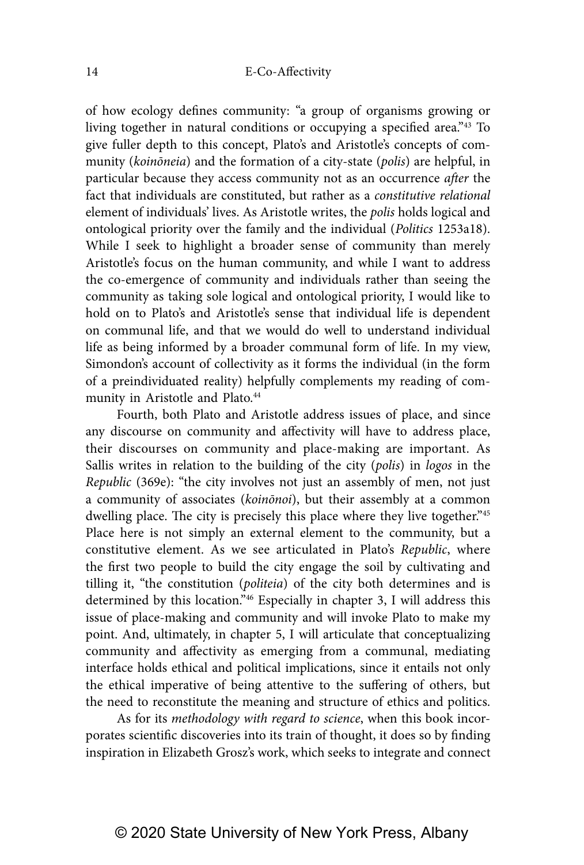of how ecology defines community: "a group of organisms growing or living together in natural conditions or occupying a specified area."43 To give fuller depth to this concept, Plato's and Aristotle's concepts of community (koinōneia) and the formation of a city-state (polis) are helpful, in particular because they access community not as an occurrence after the fact that individuals are constituted, but rather as a constitutive relational element of individuals' lives. As Aristotle writes, the polis holds logical and ontological priority over the family and the individual (Politics 1253a18). While I seek to highlight a broader sense of community than merely Aristotle's focus on the human community, and while I want to address the co-emergence of community and individuals rather than seeing the community as taking sole logical and ontological priority, I would like to hold on to Plato's and Aristotle's sense that individual life is dependent on communal life, and that we would do well to understand individual life as being informed by a broader communal form of life. In my view, Simondon's account of collectivity as it forms the individual (in the form of a preindividuated reality) helpfully complements my reading of community in Aristotle and Plato.<sup>44</sup>

Fourth, both Plato and Aristotle address issues of place, and since any discourse on community and affectivity will have to address place, their discourses on community and place-making are important. As Sallis writes in relation to the building of the city (polis) in logos in the Republic (369e): "the city involves not just an assembly of men, not just a community of associates (koinōnoi), but their assembly at a common dwelling place. The city is precisely this place where they live together."<sup>45</sup> Place here is not simply an external element to the community, but a constitutive element. As we see articulated in Plato's Republic, where the first two people to build the city engage the soil by cultivating and tilling it, "the constitution (politeia) of the city both determines and is determined by this location."46 Especially in chapter 3, I will address this issue of place-making and community and will invoke Plato to make my point. And, ultimately, in chapter 5, I will articulate that conceptualizing community and affectivity as emerging from a communal, mediating interface holds ethical and political implications, since it entails not only the ethical imperative of being attentive to the suffering of others, but the need to reconstitute the meaning and structure of ethics and politics.

As for its methodology with regard to science, when this book incorporates scientific discoveries into its train of thought, it does so by finding inspiration in Elizabeth Grosz's work, which seeks to integrate and connect